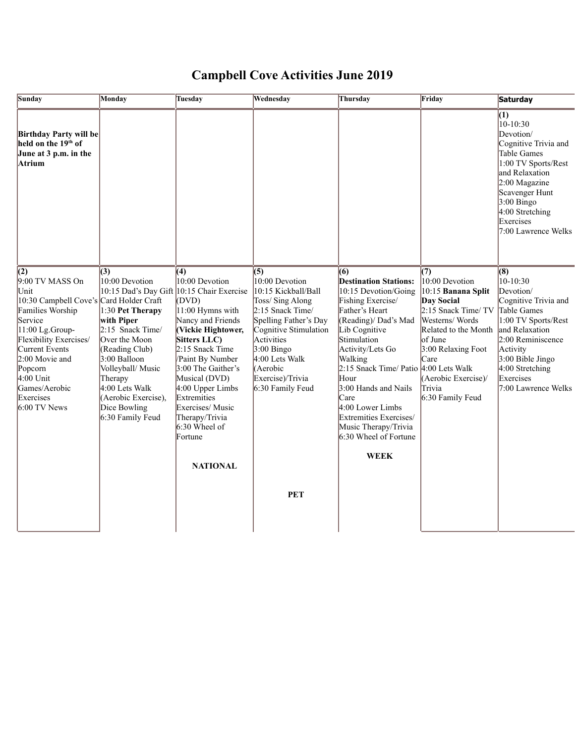## **Campbell Cove Activities June 2019**

| Sunday                                                                                                                                                                                                                                                                     | Monday                                                                                                                                                                                                                                                                                     | Tuesday                                                                                                                                                                                                                                                                                                                    | Wednesday                                                                                                                                                                                                                                                  | Thursday                                                                                                                                                                                                                                                                                                                                                                                 | Friday                                                                                                                                                                                                                    | Saturday                                                                                                                                                                                                                          |
|----------------------------------------------------------------------------------------------------------------------------------------------------------------------------------------------------------------------------------------------------------------------------|--------------------------------------------------------------------------------------------------------------------------------------------------------------------------------------------------------------------------------------------------------------------------------------------|----------------------------------------------------------------------------------------------------------------------------------------------------------------------------------------------------------------------------------------------------------------------------------------------------------------------------|------------------------------------------------------------------------------------------------------------------------------------------------------------------------------------------------------------------------------------------------------------|------------------------------------------------------------------------------------------------------------------------------------------------------------------------------------------------------------------------------------------------------------------------------------------------------------------------------------------------------------------------------------------|---------------------------------------------------------------------------------------------------------------------------------------------------------------------------------------------------------------------------|-----------------------------------------------------------------------------------------------------------------------------------------------------------------------------------------------------------------------------------|
| <b>Birthday Party will be</b><br>held on the 19 <sup>th</sup> of<br>June at 3 p.m. in the<br>Atrium                                                                                                                                                                        |                                                                                                                                                                                                                                                                                            |                                                                                                                                                                                                                                                                                                                            |                                                                                                                                                                                                                                                            |                                                                                                                                                                                                                                                                                                                                                                                          |                                                                                                                                                                                                                           | (1)<br>10-10:30<br>Devotion/<br>Cognitive Trivia and<br><b>Table Games</b><br>1:00 TV Sports/Rest<br>and Relaxation<br>$2:00$ Magazine<br>Scavenger Hunt<br>$3:00$ Bingo<br>$4:00$ Stretching<br>Exercises<br>7:00 Lawrence Welks |
| (2)<br>$9:00$ TV MASS On<br>Unit<br>10:30 Campbell Cove's Card Holder Craft<br>Families Worship<br>Service<br>$11:00$ Lg. Group-<br>Flexibility Exercises/<br>Current Events<br>$2:00$ Movie and<br>Popcorn<br>$4:00$ Unit<br>Games/Aerobic<br>Exercises<br>$6:00$ TV News | (3)<br>10:00 Devotion<br>10:15 Dad's Day Gift 10:15 Chair Exercise<br>1:30 Pet Therapy<br>with Piper<br>2:15 Snack Time/<br>Over the Moon<br>(Reading Club)<br>$3:00$ Balloon<br>Volleyball/ Music<br>Therapy<br>4:00 Lets Walk<br>(Aerobic Exercise),<br>Dice Bowling<br>6:30 Family Feud | (4)<br>10:00 Devotion<br>(DVD)<br>$11:00$ Hymns with<br>Nancy and Friends<br>(Vickie Hightower,<br>Sitters LLC)<br>$2:15$ Snack Time<br>/Paint By Number<br>3:00 The Gaither's<br>Musical (DVD)<br>$4:00$ Upper Limbs<br>Extremities<br>Exercises/Music<br>Therapy/Trivia<br>$6:30$ Wheel of<br>Fortune<br><b>NATIONAL</b> | (5)<br>10:00 Devotion<br>10:15 Kickball/Ball<br>Toss/ Sing Along<br>2:15 Snack Time/<br>Spelling Father's Day<br>Cognitive Stimulation<br>Activities<br>$3:00$ Bingo<br>$4:00$ Lets Walk<br>(Aerobic<br>Exercise)/Trivia<br>6:30 Family Feud<br><b>PET</b> | (6)<br><b>Destination Stations:</b><br>10:15 Devotion/Going<br>Fishing Exercise/<br>Father's Heart<br>(Reading)/ Dad's Mad<br>Lib Cognitive<br>Stimulation<br>Activity/Lets Go<br>Walking<br>2:15 Snack Time/ Patio 4:00 Lets Walk<br>Hour<br>3:00 Hands and Nails<br>Care<br>4:00 Lower Limbs<br>Extremities Exercises/<br>Music Therapy/Trivia<br>6:30 Wheel of Fortune<br><b>WEEK</b> | (7)<br>10:00 Devotion<br>10:15 Banana Split<br>Day Social<br>2:15 Snack Time/ TV<br>Westerns/Words<br>Related to the Month<br>lof June<br>3:00 Relaxing Foot<br>Care<br>(Aerobic Exercise)/<br>Trivia<br>6:30 Family Feud | (8)<br>10-10:30<br>Devotion/<br>Cognitive Trivia and<br>Table Games<br>1:00 TV Sports/Rest<br>and Relaxation<br>2:00 Reminiscence<br>Activity<br>$3:00$ Bible Jingo<br>$4:00$ Stretching<br>Exercises<br>7:00 Lawrence Welks      |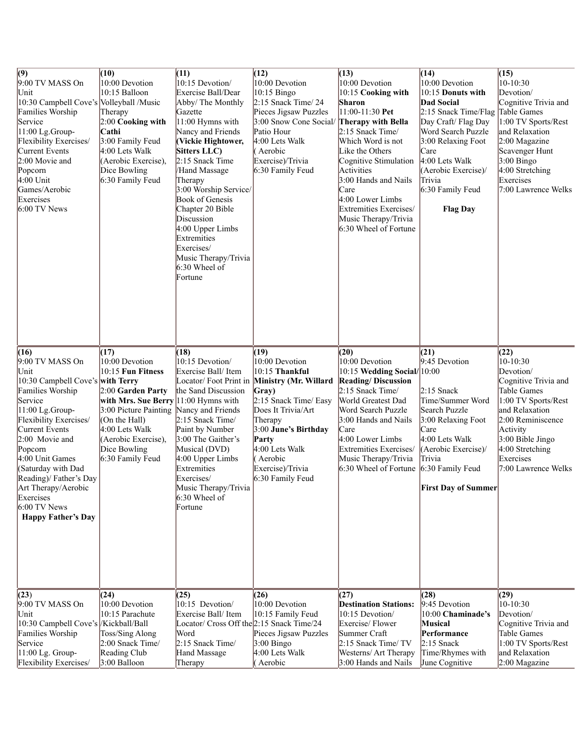| $\overline{(9)}$<br>9:00 TV MASS On<br>Unit<br>10:30 Campbell Cove's Volleyball /Music<br>Families Worship<br>Service<br>$ 11:00$ Lg. Group-<br>Flexibility Exercises/<br>Current Events<br>$2:00$ Movie and<br>Popcorn<br>$4:00$ Unit<br>Games/Aerobic<br>Exercises<br>$6:00$ TV News                                                                            | (10)<br>10:00 Devotion<br>10:15 Balloon<br>Therapy<br>$2:00$ Cooking with<br>Cathi<br>3:00 Family Feud<br>4:00 Lets Walk<br>(Aerobic Exercise),<br>Dice Bowling<br>6:30 Family Feud                                                               | (11)<br>10:15 Devotion/<br>Exercise Ball/Dear<br>Abby/ The Monthly<br>Gazette<br>$ 11:00$ Hymns with<br>Nancy and Friends<br>(Vickie Hightower,<br>Sitters LLC)<br>$2:15$ Snack Time<br>/Hand Massage<br>Therapy<br>3:00 Worship Service/<br><b>Book of Genesis</b><br>Chapter 20 Bible<br>Discussion<br>$4:00$ Upper Limbs<br>Extremities<br>Exercises/<br>Music Therapy/Trivia<br>$6:30$ Wheel of<br>Fortune | (12)<br>10:00 Devotion<br>$10:15$ Bingo<br>$2:15$ Snack Time/24<br>Pieces Jigsaw Puzzles<br>3:00 Snow Cone Social/<br>Patio Hour<br>$4:00$ Lets Walk<br>(Aerobic<br>Exercise)/Trivia<br>6:30 Family Feud                                         | (13)<br>10:00 Devotion<br>10:15 Cooking with<br><b>Sharon</b><br>$11:00-11:30$ Pet<br><b>Therapy with Bella</b><br>2:15 Snack Time/<br>Which Word is not<br>Like the Others<br>Cognitive Stimulation<br>Activities<br>3:00 Hands and Nails<br>Care<br>4:00 Lower Limbs<br>Extremities Exercises/<br>Music Therapy/Trivia<br>6:30 Wheel of Fortune | (14)<br>10:00 Devotion<br>10:15 Donuts with<br><b>Dad Social</b><br>2:15 Snack Time/Flag Table Games<br>Day Craft/Flag Day<br>Word Search Puzzle<br>3:00 Relaxing Foot<br>Care<br>$4:00$ Lets Walk<br>(Aerobic Exercise)/<br>Trivia<br>6:30 Family Feud<br><b>Flag Day</b> | (15)<br>$10-10:30$<br>Devotion/<br>Cognitive Trivia and<br>1:00 TV Sports/Rest<br>and Relaxation<br>$2:00$ Magazine<br>Scavenger Hunt<br>$3:00$ Bingo<br>4:00 Stretching<br>Exercises<br>7:00 Lawrence Welks                       |
|-------------------------------------------------------------------------------------------------------------------------------------------------------------------------------------------------------------------------------------------------------------------------------------------------------------------------------------------------------------------|---------------------------------------------------------------------------------------------------------------------------------------------------------------------------------------------------------------------------------------------------|----------------------------------------------------------------------------------------------------------------------------------------------------------------------------------------------------------------------------------------------------------------------------------------------------------------------------------------------------------------------------------------------------------------|--------------------------------------------------------------------------------------------------------------------------------------------------------------------------------------------------------------------------------------------------|---------------------------------------------------------------------------------------------------------------------------------------------------------------------------------------------------------------------------------------------------------------------------------------------------------------------------------------------------|----------------------------------------------------------------------------------------------------------------------------------------------------------------------------------------------------------------------------------------------------------------------------|------------------------------------------------------------------------------------------------------------------------------------------------------------------------------------------------------------------------------------|
| (16)<br>9:00 TV MASS On<br>Unit<br>10:30 Campbell Cove's with Terry<br><b>Families Worship</b><br>Service<br>$ 11:00$ Lg. Group-<br>Flexibility Exercises/<br>Current Events<br>$2:00$ Movie and<br>Popcorn<br>4:00 Unit Games<br>(Saturday with Dad<br>Reading)/ Father's Day<br>Art Therapy/Aerobic<br>Exercises<br>$6:00$ TV News<br><b>Happy Father's Day</b> | (17)<br>10:00 Devotion<br>10:15 Fun Fitness<br>2:00 Garden Party<br>with Mrs. Sue Berry 11:00 Hymns with<br>3:00 Picture Painting Nancy and Friends<br>(On the Hall)<br>4:00 Lets Walk<br>(Aerobic Exercise),<br>Dice Bowling<br>6:30 Family Feud | (18)<br>10:15 Devotion/<br>Exercise Ball/Item<br>Locator/Foot Print in<br>the Sand Discussion<br>$2:15$ Snack Time/<br>Paint by Number<br>3:00 The Gaither's<br>Musical (DVD)<br>$4:00$ Upper Limbs<br>Extremities<br>Exercises/<br>Music Therapy/Trivia<br>$6:30$ Wheel of<br>Fortune                                                                                                                         | (19)<br>10:00 Devotion<br>$ 10:15$ Thankful<br>Ministry (Mr. Willard<br>Gray)<br>2:15 Snack Time/ Easy<br>Does It Trivia/Art<br>Therapy<br>3:00 June's Birthday<br>Party<br>$4:00$ Lets Walk<br>(Aerobic<br>Exercise)/Trivia<br>6:30 Family Feud | (20)<br>10:00 Devotion<br>10:15 Wedding Social/10:00<br><b>Reading/Discussion</b><br>2:15 Snack Time/<br>World Greatest Dad<br>Word Search Puzzle<br>3:00 Hands and Nails<br>Care<br>4:00 Lower Limbs<br>Extremities Exercises/<br>Music Therapy/Trivia<br>6:30 Wheel of Fortune                                                                  | (21)<br>9:45 Devotion<br>$2:15$ Snack<br>Time/Summer Word<br>Search Puzzle<br>3:00 Relaxing Foot<br>Care<br>$4:00$ Lets Walk<br>(Aerobic Exercise)/<br>Trivia<br>6:30 Family Feud<br><b>First Day of Summer</b>                                                            | (22)<br>10-10:30<br>Devotion/<br>Cognitive Trivia and<br><b>Table Games</b><br>1:00 TV Sports/Rest<br>and Relaxation<br>2:00 Reminiscence<br>Activity<br>$3:00$ Bible Jingo<br>4:00 Stretching<br>Exercises<br>7:00 Lawrence Welks |
| (23)<br>9:00 TV MASS On<br>Unit<br>10:30 Campbell Cove's   Kickball / Ball<br>Families Worship<br>Service<br>$11:00$ Lg. Group-<br>Flexibility Exercises/                                                                                                                                                                                                         | (24)<br>10:00 Devotion<br>10:15 Parachute<br><b>Toss/Sing Along</b><br>2:00 Snack Time/<br>Reading Club<br>$3:00$ Balloon                                                                                                                         | (25)<br>10:15 Devotion/<br>Exercise Ball/Item<br>Locator/ Cross Off the 2:15 Snack Time/24<br>Word<br>2:15 Snack Time/<br>Hand Massage<br>Therapy                                                                                                                                                                                                                                                              | (26)<br>10:00 Devotion<br>10:15 Family Feud<br>Pieces Jigsaw Puzzles<br>$3:00$ Bingo<br>$4:00$ Lets Walk<br>Aerobic                                                                                                                              | (27)<br><b>Destination Stations:</b><br>10:15 Devotion/<br>Exercise/Flower<br>Summer Craft<br>2:15 Snack Time/ TV<br>Westerns/Art Therapy<br>3:00 Hands and Nails                                                                                                                                                                                 | (28)<br>9:45 Devotion<br>10:00 Chaminade's<br>Musical<br>Performance<br>$2:15$ Snack<br>Time/Rhymes with<br>June Cognitive                                                                                                                                                 | (29)<br>10-10:30<br>Devotion/<br>Cognitive Trivia and<br><b>Table Games</b><br>1:00 TV Sports/Rest<br>and Relaxation<br>$2:00$ Magazine                                                                                            |